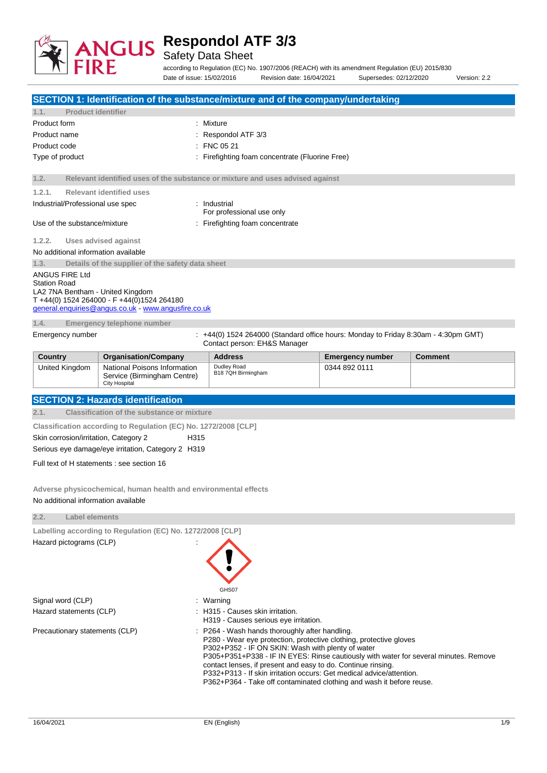

Safety Data Sheet

according to Regulation (EC) No. 1907/2006 (REACH) with its amendment Regulation (EU) 2015/830 Date of issue: 15/02/2016 Revision date: 16/04/2021 Supersedes: 02/12/2020 Version: 2.2

|                                                                                                        |                                                                                                   | SECTION 1: Identification of the substance/mixture and of the company/undertaking                                                                                                                                                                                                                                                                                                                       |                         |                |
|--------------------------------------------------------------------------------------------------------|---------------------------------------------------------------------------------------------------|---------------------------------------------------------------------------------------------------------------------------------------------------------------------------------------------------------------------------------------------------------------------------------------------------------------------------------------------------------------------------------------------------------|-------------------------|----------------|
| <b>Product identifier</b><br>1.1.                                                                      |                                                                                                   |                                                                                                                                                                                                                                                                                                                                                                                                         |                         |                |
| Product form                                                                                           |                                                                                                   | : Mixture                                                                                                                                                                                                                                                                                                                                                                                               |                         |                |
| Product name                                                                                           |                                                                                                   | Respondol ATF 3/3                                                                                                                                                                                                                                                                                                                                                                                       |                         |                |
| Product code                                                                                           |                                                                                                   | FNC 05 21                                                                                                                                                                                                                                                                                                                                                                                               |                         |                |
| Type of product                                                                                        |                                                                                                   | Firefighting foam concentrate (Fluorine Free)                                                                                                                                                                                                                                                                                                                                                           |                         |                |
| 1.2.                                                                                                   |                                                                                                   | Relevant identified uses of the substance or mixture and uses advised against                                                                                                                                                                                                                                                                                                                           |                         |                |
| 1.2.1.                                                                                                 | <b>Relevant identified uses</b>                                                                   |                                                                                                                                                                                                                                                                                                                                                                                                         |                         |                |
| Industrial/Professional use spec                                                                       |                                                                                                   | Industrial<br>For professional use only                                                                                                                                                                                                                                                                                                                                                                 |                         |                |
| Use of the substance/mixture                                                                           |                                                                                                   | Firefighting foam concentrate                                                                                                                                                                                                                                                                                                                                                                           |                         |                |
| 1.2.2.                                                                                                 | <b>Uses advised against</b>                                                                       |                                                                                                                                                                                                                                                                                                                                                                                                         |                         |                |
| No additional information available                                                                    |                                                                                                   |                                                                                                                                                                                                                                                                                                                                                                                                         |                         |                |
| 1.3.                                                                                                   | Details of the supplier of the safety data sheet                                                  |                                                                                                                                                                                                                                                                                                                                                                                                         |                         |                |
| ANGUS FIRE Ltd<br><b>Station Road</b><br>LA2 7NA Bentham - United Kingdom                              | T +44(0) 1524 264000 - F +44(0)1524 264180<br>general.enquiries@angus.co.uk - www.angusfire.co.uk |                                                                                                                                                                                                                                                                                                                                                                                                         |                         |                |
| 1.4.                                                                                                   | Emergency telephone number                                                                        |                                                                                                                                                                                                                                                                                                                                                                                                         |                         |                |
| Emergency number                                                                                       |                                                                                                   | +44(0) 1524 264000 (Standard office hours: Monday to Friday 8:30am - 4:30pm GMT)<br>Contact person: EH&S Manager                                                                                                                                                                                                                                                                                        |                         |                |
| Country                                                                                                | <b>Organisation/Company</b>                                                                       | <b>Address</b>                                                                                                                                                                                                                                                                                                                                                                                          | <b>Emergency number</b> | <b>Comment</b> |
| United Kingdom                                                                                         | National Poisons Information<br>Service (Birmingham Centre)<br><b>City Hospital</b>               | Dudley Road<br>B18 7QH Birmingham                                                                                                                                                                                                                                                                                                                                                                       | 0344 892 0111           |                |
|                                                                                                        | <b>SECTION 2: Hazards identification</b>                                                          |                                                                                                                                                                                                                                                                                                                                                                                                         |                         |                |
| 2.1.                                                                                                   | <b>Classification of the substance or mixture</b>                                                 |                                                                                                                                                                                                                                                                                                                                                                                                         |                         |                |
|                                                                                                        | Classification according to Regulation (EC) No. 1272/2008 [CLP]                                   |                                                                                                                                                                                                                                                                                                                                                                                                         |                         |                |
| Skin corrosion/irritation, Category 2                                                                  | H315                                                                                              |                                                                                                                                                                                                                                                                                                                                                                                                         |                         |                |
|                                                                                                        | Serious eye damage/eye irritation, Category 2 H319                                                |                                                                                                                                                                                                                                                                                                                                                                                                         |                         |                |
|                                                                                                        | Full text of H statements : see section 16                                                        |                                                                                                                                                                                                                                                                                                                                                                                                         |                         |                |
|                                                                                                        |                                                                                                   |                                                                                                                                                                                                                                                                                                                                                                                                         |                         |                |
| Adverse physicochemical, human health and environmental effects<br>No additional information available |                                                                                                   |                                                                                                                                                                                                                                                                                                                                                                                                         |                         |                |
| 2.2.<br><b>Label elements</b>                                                                          |                                                                                                   |                                                                                                                                                                                                                                                                                                                                                                                                         |                         |                |
|                                                                                                        | Labelling according to Regulation (EC) No. 1272/2008 [CLP]                                        |                                                                                                                                                                                                                                                                                                                                                                                                         |                         |                |
| Hazard pictograms (CLP)                                                                                |                                                                                                   |                                                                                                                                                                                                                                                                                                                                                                                                         |                         |                |
|                                                                                                        |                                                                                                   | GHS07                                                                                                                                                                                                                                                                                                                                                                                                   |                         |                |
| Signal word (CLP)                                                                                      |                                                                                                   | Warning                                                                                                                                                                                                                                                                                                                                                                                                 |                         |                |
| Hazard statements (CLP)                                                                                |                                                                                                   | H315 - Causes skin irritation.<br>H319 - Causes serious eye irritation.                                                                                                                                                                                                                                                                                                                                 |                         |                |
| Precautionary statements (CLP)                                                                         |                                                                                                   | P264 - Wash hands thoroughly after handling.<br>P280 - Wear eye protection, protective clothing, protective gloves<br>P302+P352 - IF ON SKIN: Wash with plenty of water<br>P305+P351+P338 - IF IN EYES: Rinse cautiously with water for several minutes. Remove<br>contact lenses, if present and easy to do. Continue rinsing.<br>P332+P313 - If skin irritation occurs: Get medical advice/attention. |                         |                |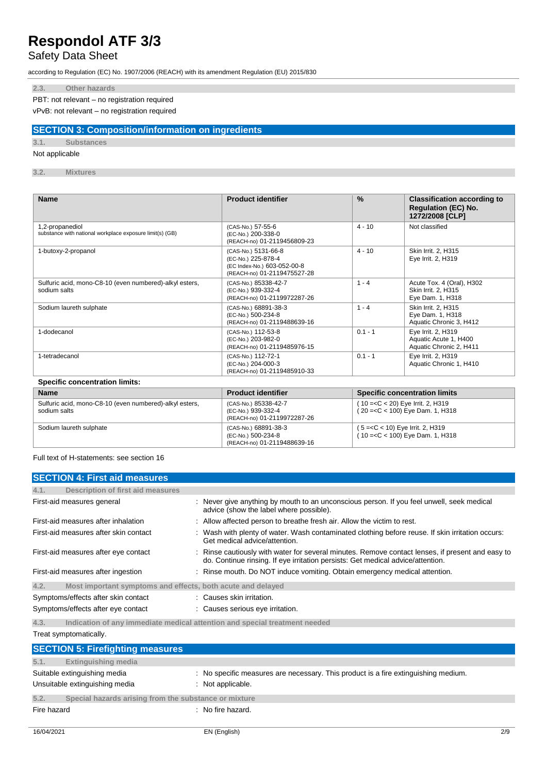### Safety Data Sheet

according to Regulation (EC) No. 1907/2006 (REACH) with its amendment Regulation (EU) 2015/830

### **2.3. Other hazards**

PBT: not relevant – no registration required

vPvB: not relevant – no registration required

### **SECTION 3: Composition/information on ingredients**

### **3.1. Substances**

Not applicable

**3.2. Mixtures**

| <b>Name</b>                                                                 | <b>Product identifier</b>                                                                               | $\frac{9}{6}$ | <b>Classification according to</b><br><b>Regulation (EC) No.</b><br>1272/2008 [CLP] |
|-----------------------------------------------------------------------------|---------------------------------------------------------------------------------------------------------|---------------|-------------------------------------------------------------------------------------|
| 1,2-propanediol<br>substance with national workplace exposure limit(s) (GB) | (CAS-No.) 57-55-6<br>(EC-No.) 200-338-0<br>(REACH-no) 01-2119456809-23                                  | $4 - 10$      | Not classified                                                                      |
| 1-butoxy-2-propanol                                                         | (CAS-No.) 5131-66-8<br>(EC-No.) 225-878-4<br>(EC Index-No.) 603-052-00-8<br>(REACH-no) 01-2119475527-28 | $4 - 10$      | Skin Irrit. 2, H315<br>Eye Irrit. 2, H319                                           |
| Sulfuric acid, mono-C8-10 (even numbered)-alkyl esters,<br>sodium salts     | (CAS-No.) 85338-42-7<br>(EC-No.) 939-332-4<br>(REACH-no) 01-2119972287-26                               | $1 - 4$       | Acute Tox. 4 (Oral), H302<br>Skin Irrit. 2, H315<br>Eye Dam. 1, H318                |
| Sodium laureth sulphate                                                     | (CAS-No.) 68891-38-3<br>(EC-No.) 500-234-8<br>(REACH-no) 01-2119488639-16                               | $1 - 4$       | Skin Irrit. 2, H315<br>Eye Dam. 1, H318<br>Aquatic Chronic 3, H412                  |
| 1-dodecanol                                                                 | (CAS-No.) 112-53-8<br>(EC-No.) 203-982-0<br>(REACH-no) 01-2119485976-15                                 | $0.1 - 1$     | Eye Irrit. 2, H319<br>Aquatic Acute 1, H400<br>Aquatic Chronic 2, H411              |
| 1-tetradecanol                                                              | (CAS-No.) 112-72-1<br>(EC-No.) 204-000-3<br>(REACH-no) 01-2119485910-33                                 | $0.1 - 1$     | Eye Irrit. 2, H319<br>Aquatic Chronic 1, H410                                       |

### **Specific concentration limits:**

| <b>Name</b>                                                             | <b>Product identifier</b>                                                 | <b>Specific concentration limits</b>                                     |
|-------------------------------------------------------------------------|---------------------------------------------------------------------------|--------------------------------------------------------------------------|
| Sulfuric acid, mono-C8-10 (even numbered)-alkyl esters,<br>sodium salts | (CAS-No.) 85338-42-7<br>(EC-No.) 939-332-4<br>(REACH-no) 01-2119972287-26 | $(10=<$ C < 20) Eye Irrit. 2, H319<br>$(20 = C < 100)$ Eye Dam. 1, H318  |
| Sodium laureth sulphate                                                 | (CAS-No.) 68891-38-3<br>(EC-No.) 500-234-8<br>(REACH-no) 01-2119488639-16 | $(5 = C < 10)$ Eye Irrit. 2, H319<br>$(10 = < C < 100)$ Eye Dam. 1, H318 |

Full text of H-statements: see section 16

| <b>SECTION 4: First aid measures</b>                                                                                                                                                                                              |                                                                                                                                                                                   |
|-----------------------------------------------------------------------------------------------------------------------------------------------------------------------------------------------------------------------------------|-----------------------------------------------------------------------------------------------------------------------------------------------------------------------------------|
| Description of first aid measures<br>4.1.                                                                                                                                                                                         |                                                                                                                                                                                   |
| First-aid measures general                                                                                                                                                                                                        | : Never give anything by mouth to an unconscious person. If you feel unwell, seek medical<br>advice (show the label where possible).                                              |
| First-aid measures after inhalation                                                                                                                                                                                               | : Allow affected person to breathe fresh air. Allow the victim to rest.                                                                                                           |
| First-aid measures after skin contact                                                                                                                                                                                             | Wash with plenty of water. Wash contaminated clothing before reuse. If skin irritation occurs:<br>Get medical advice/attention.                                                   |
| First-aid measures after eye contact                                                                                                                                                                                              | Rinse cautiously with water for several minutes. Remove contact lenses, if present and easy to<br>do. Continue rinsing. If eye irritation persists: Get medical advice/attention. |
| First-aid measures after ingestion                                                                                                                                                                                                | : Rinse mouth. Do NOT induce vomiting. Obtain emergency medical attention.                                                                                                        |
| Most important symptoms and effects, both acute and delayed<br>4.2.                                                                                                                                                               |                                                                                                                                                                                   |
| Symptoms/effects after skin contact                                                                                                                                                                                               | : Causes skin irritation.                                                                                                                                                         |
| Symptoms/effects after eye contact                                                                                                                                                                                                | : Causes serious eye irritation.                                                                                                                                                  |
| $\mathcal{L}$ , and the set of the set of the set of the set of the set of the set of the set of the set of the set of the set of the set of the set of the set of the set of the set of the set of the set of the set of the set |                                                                                                                                                                                   |

**4.3. Indication of any immediate medical attention and special treatment needed** Treat symptomatically.

|             | <b>SECTION 5: Firefighting measures</b>                        |                                                                                                       |
|-------------|----------------------------------------------------------------|-------------------------------------------------------------------------------------------------------|
| 5.1.        | <b>Extinguishing media</b>                                     |                                                                                                       |
|             | Suitable extinguishing media<br>Unsuitable extinguishing media | : No specific measures are necessary. This product is a fire extinguishing medium.<br>Not applicable. |
| 5.2.        | Special hazards arising from the substance or mixture          |                                                                                                       |
| Fire hazard |                                                                | : No fire hazard.                                                                                     |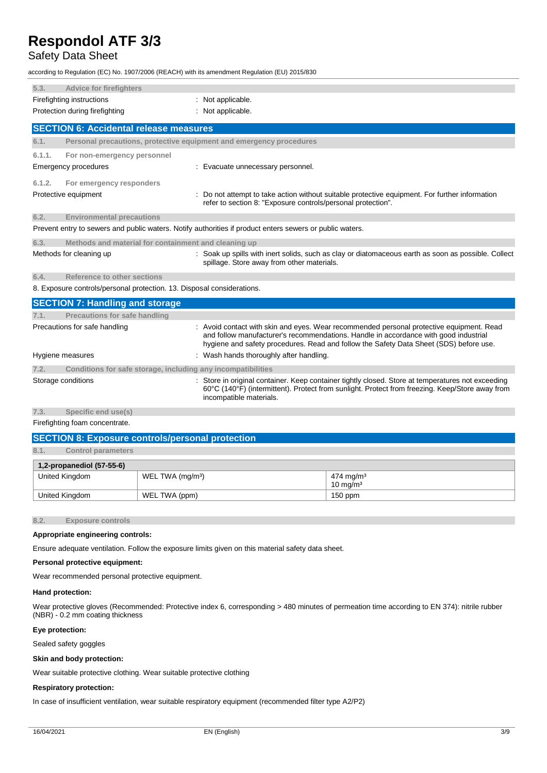### Safety Data Sheet

according to Regulation (EC) No. 1907/2006 (REACH) with its amendment Regulation (EU) 2015/830

| 5.3.                      | <b>Advice for firefighters</b>                                         |                                                                                                                                                                                                                                                                          |
|---------------------------|------------------------------------------------------------------------|--------------------------------------------------------------------------------------------------------------------------------------------------------------------------------------------------------------------------------------------------------------------------|
| Firefighting instructions |                                                                        | Not applicable.                                                                                                                                                                                                                                                          |
|                           | Protection during firefighting                                         | Not applicable.                                                                                                                                                                                                                                                          |
|                           | <b>SECTION 6: Accidental release measures</b>                          |                                                                                                                                                                                                                                                                          |
| 6.1.                      |                                                                        | Personal precautions, protective equipment and emergency procedures                                                                                                                                                                                                      |
| 6.1.1.                    | For non-emergency personnel                                            |                                                                                                                                                                                                                                                                          |
|                           | Emergency procedures                                                   | Evacuate unnecessary personnel.                                                                                                                                                                                                                                          |
| 6.1.2.                    | For emergency responders                                               |                                                                                                                                                                                                                                                                          |
|                           | Protective equipment                                                   | Do not attempt to take action without suitable protective equipment. For further information<br>refer to section 8: "Exposure controls/personal protection".                                                                                                             |
| 6.2.                      | <b>Environmental precautions</b>                                       |                                                                                                                                                                                                                                                                          |
|                           |                                                                        | Prevent entry to sewers and public waters. Notify authorities if product enters sewers or public waters.                                                                                                                                                                 |
| 6.3.                      | Methods and material for containment and cleaning up                   |                                                                                                                                                                                                                                                                          |
|                           | Methods for cleaning up                                                | Soak up spills with inert solids, such as clay or diatomaceous earth as soon as possible. Collect<br>spillage. Store away from other materials.                                                                                                                          |
| 6.4.                      | Reference to other sections                                            |                                                                                                                                                                                                                                                                          |
|                           | 8. Exposure controls/personal protection. 13. Disposal considerations. |                                                                                                                                                                                                                                                                          |
|                           | <b>SECTION 7: Handling and storage</b>                                 |                                                                                                                                                                                                                                                                          |
| 7.1.                      | Precautions for safe handling                                          |                                                                                                                                                                                                                                                                          |
|                           | Precautions for safe handling                                          | Avoid contact with skin and eyes. Wear recommended personal protective equipment. Read<br>and follow manufacturer's recommendations. Handle in accordance with good industrial<br>hygiene and safety procedures. Read and follow the Safety Data Sheet (SDS) before use. |
|                           | Hygiene measures                                                       | : Wash hands thoroughly after handling.                                                                                                                                                                                                                                  |
| 7.2.                      | Conditions for safe storage, including any incompatibilities           |                                                                                                                                                                                                                                                                          |
|                           | Storage conditions                                                     | Store in original container. Keep container tightly closed. Store at temperatures not exceeding<br>60°C (140°F) (intermittent). Protect from sunlight. Protect from freezing. Keep/Store away from<br>incompatible materials.                                            |
| 7.3.                      | Specific end use(s)                                                    |                                                                                                                                                                                                                                                                          |

Firefighting foam concentrate.

| <b>SECTION 8: Exposure controls/personal protection</b> |                              |                       |  |  |
|---------------------------------------------------------|------------------------------|-----------------------|--|--|
| 8.1.<br><b>Control parameters</b>                       |                              |                       |  |  |
| $1,2$ -propanediol (57-55-6)                            |                              |                       |  |  |
| United Kingdom                                          | WEL TWA (mg/m <sup>3</sup> ) | 474 mg/m <sup>3</sup> |  |  |
| $10 \text{ ma/m}^3$                                     |                              |                       |  |  |
| United Kingdom                                          | WEL TWA (ppm)                | $150$ ppm             |  |  |

**8.2. Exposure controls**

### **Appropriate engineering controls:**

Ensure adequate ventilation. Follow the exposure limits given on this material safety data sheet.

### **Personal protective equipment:**

Wear recommended personal protective equipment.

#### **Hand protection:**

Wear protective gloves (Recommended: Protective index 6, corresponding > 480 minutes of permeation time according to EN 374): nitrile rubber (NBR) - 0.2 mm coating thickness

#### **Eye protection:**

Sealed safety goggles

#### **Skin and body protection:**

Wear suitable protective clothing. Wear suitable protective clothing

### **Respiratory protection:**

In case of insufficient ventilation, wear suitable respiratory equipment (recommended filter type A2/P2)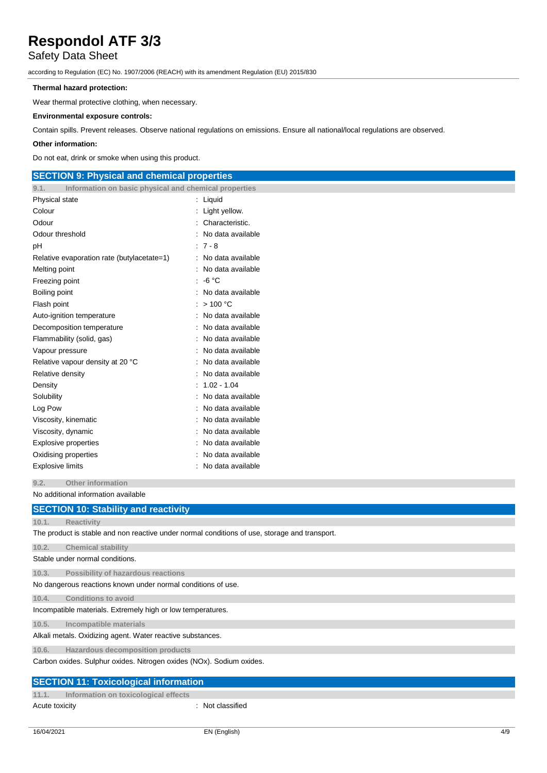### Safety Data Sheet

according to Regulation (EC) No. 1907/2006 (REACH) with its amendment Regulation (EU) 2015/830

### **Thermal hazard protection:**

Wear thermal protective clothing, when necessary.

### **Environmental exposure controls:**

Contain spills. Prevent releases. Observe national regulations on emissions. Ensure all national/local regulations are observed.

#### **Other information:**

Do not eat, drink or smoke when using this product.

### **SECTION 9: Physical and chemical properties 9.1. Information on basic physical and chemical properties** Physical state in the state in the state of the state in the state in the state in the state in the state in the state in the state in the state in the state in the state in the state in the state in the state in the state Colour : Light yellow. Odour : Characteristic. Odour threshold **in the contract of the contract of the contract of the contract of the contract of the contract of the contract of the contract of the contract of the contract of the contract of the contract of the contra** pH : 7 - 8 Relative evaporation rate (butylacetate=1) : No data available Melting point **in the case of the case of the case of the case of the case of the case of the case of the case of the case of the case of the case of the case of the case of the case of the case of the case of the case of** Freezing point : -6 °C Boiling point **in the case of the case of the case of the case of the case of the case of the case of the case of the case of the case of the case of the case of the case of the case of the case of the case of the case of** Flash point : > 100 °C Auto-ignition temperature **interest and the Contract Contract Auto-** : No data available Decomposition temperature : No data available Flammability (solid, gas) : No data available Vapour pressure in the settlement of the settlement of the No data available Relative vapour density at 20 °C : No data available Relative density **in the case of the COV** Relative density **in the case of the COV** Relative density Density : 1.02 - 1.04 Solubility : No data available : No data available Log Pow **: No data available** Viscosity, kinematic intervals of the state of the No data available Viscosity, dynamic **intervalse in the Contract of Contract Available** : No data available Explosive properties **in the set of the set of the S** and S in No data available Oxidising properties **in the contract of the Contract August** 2012 : No data available Explosive limits **Explosive Limits Explosive Limits Explosive Limits Explosive Limits EXPLOSIVE 2019**

**9.2. Other information**

No additional information available

|       | <b>SECTION 10: Stability and reactivity</b>                                                   |
|-------|-----------------------------------------------------------------------------------------------|
| 10.1. | <b>Reactivity</b>                                                                             |
|       | The product is stable and non reactive under normal conditions of use, storage and transport. |
| 10.2. | <b>Chemical stability</b>                                                                     |
|       | Stable under normal conditions.                                                               |
| 10.3. | Possibility of hazardous reactions                                                            |
|       | No dangerous reactions known under normal conditions of use.                                  |
| 10.4. | <b>Conditions to avoid</b>                                                                    |
|       | Incompatible materials. Extremely high or low temperatures.                                   |
| 10.5. | Incompatible materials                                                                        |
|       | Alkali metals. Oxidizing agent. Water reactive substances.                                    |
| 10.6. | Hazardous decomposition products                                                              |
|       | Carbon oxides. Sulphur oxides. Nitrogen oxides (NOx). Sodium oxides.                          |
|       | <b>SECTION 11: Toxicological information</b>                                                  |
| 11.1. | Information on toxicological effects                                                          |

Acute toxicity in the contract of the contract of the contract of the contract of the contract of the contract of the contract of the contract of the contract of the contract of the contract of the contract of the contract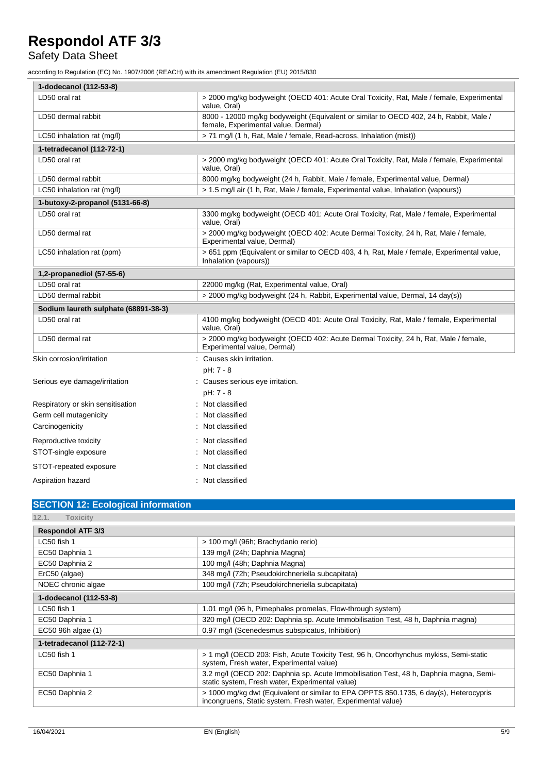### Safety Data Sheet

according to Regulation (EC) No. 1907/2006 (REACH) with its amendment Regulation (EU) 2015/830

| 1-dodecanol (112-53-8)               |                                                                                                                               |  |  |
|--------------------------------------|-------------------------------------------------------------------------------------------------------------------------------|--|--|
| LD50 oral rat                        | > 2000 mg/kg bodyweight (OECD 401: Acute Oral Toxicity, Rat, Male / female, Experimental<br>value, Oral)                      |  |  |
| LD50 dermal rabbit                   | 8000 - 12000 mg/kg bodyweight (Equivalent or similar to OECD 402, 24 h, Rabbit, Male /<br>female, Experimental value, Dermal) |  |  |
| LC50 inhalation rat (mg/l)           | > 71 mg/l (1 h, Rat, Male / female, Read-across, Inhalation (mist))                                                           |  |  |
| 1-tetradecanol (112-72-1)            |                                                                                                                               |  |  |
| LD50 oral rat                        | > 2000 mg/kg bodyweight (OECD 401: Acute Oral Toxicity, Rat, Male / female, Experimental<br>value, Oral)                      |  |  |
| LD50 dermal rabbit                   | 8000 mg/kg bodyweight (24 h, Rabbit, Male / female, Experimental value, Dermal)                                               |  |  |
| LC50 inhalation rat (mg/l)           | > 1.5 mg/l air (1 h, Rat, Male / female, Experimental value, Inhalation (vapours))                                            |  |  |
| 1-butoxy-2-propanol (5131-66-8)      |                                                                                                                               |  |  |
| LD50 oral rat                        | 3300 mg/kg bodyweight (OECD 401: Acute Oral Toxicity, Rat, Male / female, Experimental<br>value, Oral)                        |  |  |
| LD50 dermal rat                      | > 2000 mg/kg bodyweight (OECD 402: Acute Dermal Toxicity, 24 h, Rat, Male / female,<br>Experimental value, Dermal)            |  |  |
| LC50 inhalation rat (ppm)            | > 651 ppm (Equivalent or similar to OECD 403, 4 h, Rat, Male / female, Experimental value,<br>Inhalation (vapours))           |  |  |
| 1,2-propanediol (57-55-6)            |                                                                                                                               |  |  |
| LD50 oral rat                        | 22000 mg/kg (Rat, Experimental value, Oral)                                                                                   |  |  |
| LD50 dermal rabbit                   | > 2000 mg/kg bodyweight (24 h, Rabbit, Experimental value, Dermal, 14 day(s))                                                 |  |  |
| Sodium laureth sulphate (68891-38-3) |                                                                                                                               |  |  |
| LD50 oral rat                        | 4100 mg/kg bodyweight (OECD 401: Acute Oral Toxicity, Rat, Male / female, Experimental<br>value, Oral)                        |  |  |
| LD50 dermal rat                      | > 2000 mg/kg bodyweight (OECD 402: Acute Dermal Toxicity, 24 h, Rat, Male / female,<br>Experimental value, Dermal)            |  |  |
| Skin corrosion/irritation            | : Causes skin irritation.                                                                                                     |  |  |
|                                      | pH: 7 - 8                                                                                                                     |  |  |
| Serious eye damage/irritation        | : Causes serious eye irritation.                                                                                              |  |  |
|                                      | pH: 7 - 8                                                                                                                     |  |  |
| Respiratory or skin sensitisation    | Not classified                                                                                                                |  |  |
| Germ cell mutagenicity               | Not classified                                                                                                                |  |  |
| Carcinogenicity                      | Not classified                                                                                                                |  |  |
| Reproductive toxicity                | Not classified                                                                                                                |  |  |
| STOT-single exposure                 | Not classified                                                                                                                |  |  |
| STOT-repeated exposure               | : Not classified                                                                                                              |  |  |
| Aspiration hazard                    | : Not classified                                                                                                              |  |  |

### **SECTION 12: Ecological information**

| 12.1.<br>Toxicity         |                                                                                                                                                       |  |  |
|---------------------------|-------------------------------------------------------------------------------------------------------------------------------------------------------|--|--|
| <b>Respondol ATF 3/3</b>  |                                                                                                                                                       |  |  |
| LC50 fish 1               | > 100 mg/l (96h; Brachydanio rerio)                                                                                                                   |  |  |
| EC50 Daphnia 1            | 139 mg/l (24h; Daphnia Magna)                                                                                                                         |  |  |
| EC50 Daphnia 2            | 100 mg/l (48h; Daphnia Magna)                                                                                                                         |  |  |
| ErC50 (algae)             | 348 mg/l (72h; Pseudokirchneriella subcapitata)                                                                                                       |  |  |
| NOEC chronic algae        | 100 mg/l (72h; Pseudokirchneriella subcapitata)                                                                                                       |  |  |
| 1-dodecanol (112-53-8)    |                                                                                                                                                       |  |  |
| LC50 fish 1               | 1.01 mg/l (96 h, Pimephales promelas, Flow-through system)                                                                                            |  |  |
| EC50 Daphnia 1            | 320 mg/l (OECD 202: Daphnia sp. Acute Immobilisation Test, 48 h, Daphnia magna)                                                                       |  |  |
| EC50 96h algae (1)        | 0.97 mg/l (Scenedesmus subspicatus, Inhibition)                                                                                                       |  |  |
| 1-tetradecanol (112-72-1) |                                                                                                                                                       |  |  |
| LC50 fish 1               | > 1 mg/l (OECD 203: Fish, Acute Toxicity Test, 96 h, Oncorhynchus mykiss, Semi-static<br>system, Fresh water, Experimental value)                     |  |  |
| EC50 Daphnia 1            | 3.2 mg/l (OECD 202: Daphnia sp. Acute Immobilisation Test, 48 h, Daphnia magna, Semi-<br>static system, Fresh water, Experimental value)              |  |  |
| EC50 Daphnia 2            | > 1000 mg/kg dwt (Equivalent or similar to EPA OPPTS 850.1735, 6 day(s), Heterocypris<br>incongruens, Static system, Fresh water, Experimental value) |  |  |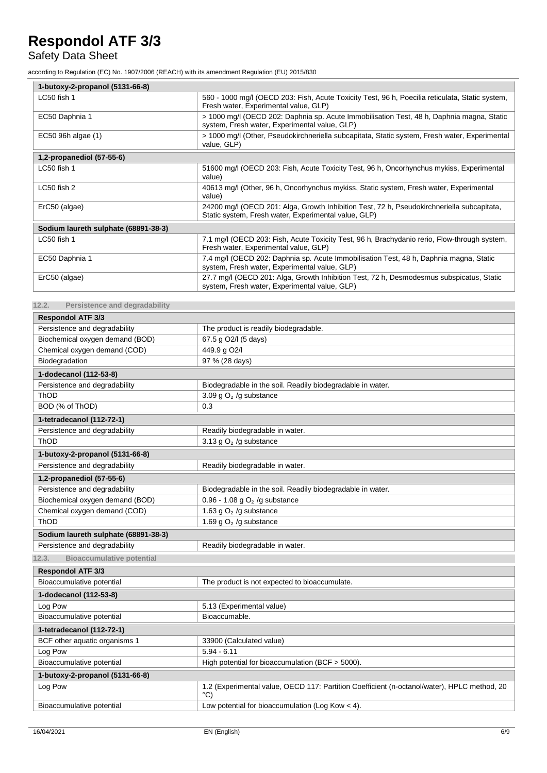### Safety Data Sheet

according to Regulation (EC) No. 1907/2006 (REACH) with its amendment Regulation (EU) 2015/830

| 1-butoxy-2-propanol (5131-66-8)      |                                                                                                                                                    |  |
|--------------------------------------|----------------------------------------------------------------------------------------------------------------------------------------------------|--|
| LC50 fish 1                          | 560 - 1000 mg/l (OECD 203: Fish, Acute Toxicity Test, 96 h, Poecilia reticulata, Static system,<br>Fresh water, Experimental value, GLP)           |  |
| EC50 Daphnia 1                       | > 1000 mg/l (OECD 202: Daphnia sp. Acute Immobilisation Test, 48 h, Daphnia magna, Static<br>system, Fresh water, Experimental value, GLP)         |  |
| EC50 96h algae (1)                   | > 1000 mg/l (Other, Pseudokirchneriella subcapitata, Static system, Fresh water, Experimental<br>value, GLP)                                       |  |
| 1,2-propanediol (57-55-6)            |                                                                                                                                                    |  |
| LC50 fish 1                          | 51600 mg/l (OECD 203: Fish, Acute Toxicity Test, 96 h, Oncorhynchus mykiss, Experimental<br>value)                                                 |  |
| LC50 fish 2                          | 40613 mg/l (Other, 96 h, Oncorhynchus mykiss, Static system, Fresh water, Experimental<br>value)                                                   |  |
| ErC50 (algae)                        | 24200 mg/l (OECD 201: Alga, Growth Inhibition Test, 72 h, Pseudokirchneriella subcapitata,<br>Static system, Fresh water, Experimental value, GLP) |  |
| Sodium laureth sulphate (68891-38-3) |                                                                                                                                                    |  |
| LC50 fish 1                          | 7.1 mg/l (OECD 203: Fish, Acute Toxicity Test, 96 h, Brachydanio rerio, Flow-through system,<br>Fresh water, Experimental value, GLP)              |  |
| EC50 Daphnia 1                       | 7.4 mg/l (OECD 202: Daphnia sp. Acute Immobilisation Test, 48 h, Daphnia magna, Static<br>system, Fresh water, Experimental value, GLP)            |  |
| ErC50 (algae)                        | 27.7 mg/l (OECD 201: Alga, Growth Inhibition Test, 72 h, Desmodesmus subspicatus, Static<br>system, Fresh water, Experimental value, GLP)          |  |

**12.2. Persistence and degradability**

| <b>Respondol ATF 3/3</b>                  |                                                                                                                |  |  |
|-------------------------------------------|----------------------------------------------------------------------------------------------------------------|--|--|
| Persistence and degradability             | The product is readily biodegradable.                                                                          |  |  |
| Biochemical oxygen demand (BOD)           | 67.5 g O2/I (5 days)                                                                                           |  |  |
| Chemical oxygen demand (COD)              | 449.9 g O2/I                                                                                                   |  |  |
| Biodegradation                            | 97 % (28 days)                                                                                                 |  |  |
| 1-dodecanol (112-53-8)                    |                                                                                                                |  |  |
| Persistence and degradability             | Biodegradable in the soil. Readily biodegradable in water.                                                     |  |  |
| ThOD                                      | 3.09 g $O2$ /g substance                                                                                       |  |  |
| BOD (% of ThOD)                           | 0.3                                                                                                            |  |  |
| 1-tetradecanol (112-72-1)                 |                                                                                                                |  |  |
| Persistence and degradability             | Readily biodegradable in water.                                                                                |  |  |
| ThOD                                      | 3.13 g $O2$ /g substance                                                                                       |  |  |
| 1-butoxy-2-propanol (5131-66-8)           |                                                                                                                |  |  |
| Persistence and degradability             | Readily biodegradable in water.                                                                                |  |  |
| 1,2-propanediol (57-55-6)                 |                                                                                                                |  |  |
| Persistence and degradability             | Biodegradable in the soil. Readily biodegradable in water.                                                     |  |  |
| Biochemical oxygen demand (BOD)           | 0.96 - 1.08 g $O2$ /g substance                                                                                |  |  |
| Chemical oxygen demand (COD)              | 1.63 g $O2$ /g substance                                                                                       |  |  |
| ThOD                                      | 1.69 g $O2$ /g substance                                                                                       |  |  |
| Sodium laureth sulphate (68891-38-3)      |                                                                                                                |  |  |
| Persistence and degradability             | Readily biodegradable in water.                                                                                |  |  |
| <b>Bioaccumulative potential</b><br>12.3. |                                                                                                                |  |  |
| <b>Respondol ATF 3/3</b>                  |                                                                                                                |  |  |
| Bioaccumulative potential                 | The product is not expected to bioaccumulate.                                                                  |  |  |
| 1-dodecanol (112-53-8)                    |                                                                                                                |  |  |
| Log Pow                                   | 5.13 (Experimental value)                                                                                      |  |  |
| Bioaccumulative potential                 | Bioaccumable.                                                                                                  |  |  |
| 1-tetradecanol (112-72-1)                 |                                                                                                                |  |  |
| BCF other aquatic organisms 1             | 33900 (Calculated value)                                                                                       |  |  |
| Log Pow                                   | $5.94 - 6.11$                                                                                                  |  |  |
| Bioaccumulative potential                 | High potential for bioaccumulation (BCF > 5000).                                                               |  |  |
| 1-butoxy-2-propanol (5131-66-8)           |                                                                                                                |  |  |
| Log Pow                                   | 1.2 (Experimental value, OECD 117: Partition Coefficient (n-octanol/water), HPLC method, 20<br>$\rm ^{\circ}C$ |  |  |
| Bioaccumulative potential                 | Low potential for bioaccumulation (Log Kow $<$ 4).                                                             |  |  |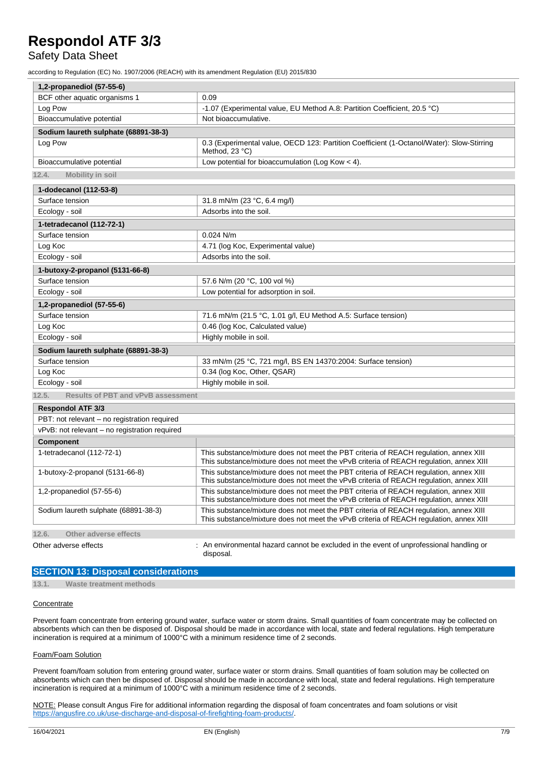### Safety Data Sheet

according to Regulation (EC) No. 1907/2006 (REACH) with its amendment Regulation (EU) 2015/830

| 1,2-propanediol (57-55-6)                          |                                                                                                                                                                                 |  |
|----------------------------------------------------|---------------------------------------------------------------------------------------------------------------------------------------------------------------------------------|--|
| BCF other aquatic organisms 1                      | 0.09                                                                                                                                                                            |  |
| Log Pow                                            | -1.07 (Experimental value, EU Method A.8: Partition Coefficient, 20.5 °C)                                                                                                       |  |
| Bioaccumulative potential                          | Not bioaccumulative.                                                                                                                                                            |  |
| Sodium laureth sulphate (68891-38-3)               |                                                                                                                                                                                 |  |
| Log Pow                                            | 0.3 (Experimental value, OECD 123: Partition Coefficient (1-Octanol/Water): Slow-Stirring<br>Method, 23 °C)                                                                     |  |
| Bioaccumulative potential                          | Low potential for bioaccumulation (Log Kow $<$ 4).                                                                                                                              |  |
| 12.4.<br><b>Mobility in soil</b>                   |                                                                                                                                                                                 |  |
| 1-dodecanol (112-53-8)                             |                                                                                                                                                                                 |  |
| Surface tension                                    | 31.8 mN/m (23 °C, 6.4 mg/l)                                                                                                                                                     |  |
| Ecology - soil                                     | Adsorbs into the soil.                                                                                                                                                          |  |
| 1-tetradecanol (112-72-1)                          |                                                                                                                                                                                 |  |
| Surface tension                                    | $0.024$ N/m                                                                                                                                                                     |  |
| Log Koc                                            | 4.71 (log Koc, Experimental value)                                                                                                                                              |  |
| Ecology - soil                                     | Adsorbs into the soil.                                                                                                                                                          |  |
| 1-butoxy-2-propanol (5131-66-8)                    |                                                                                                                                                                                 |  |
| Surface tension                                    | 57.6 N/m (20 °C, 100 vol %)                                                                                                                                                     |  |
| Ecology - soil                                     | Low potential for adsorption in soil.                                                                                                                                           |  |
| 1,2-propanediol (57-55-6)                          |                                                                                                                                                                                 |  |
| Surface tension                                    | 71.6 mN/m (21.5 °C, 1.01 g/l, EU Method A.5: Surface tension)                                                                                                                   |  |
| Log Koc                                            | 0.46 (log Koc, Calculated value)                                                                                                                                                |  |
| Ecology - soil                                     | Highly mobile in soil.                                                                                                                                                          |  |
| Sodium laureth sulphate (68891-38-3)               |                                                                                                                                                                                 |  |
| Surface tension                                    | 33 mN/m (25 °C, 721 mg/l, BS EN 14370:2004: Surface tension)                                                                                                                    |  |
| Log Koc                                            | 0.34 (log Koc, Other, QSAR)                                                                                                                                                     |  |
| Ecology - soil                                     | Highly mobile in soil.                                                                                                                                                          |  |
| 12.5.<br><b>Results of PBT and vPvB assessment</b> |                                                                                                                                                                                 |  |
| <b>Respondol ATF 3/3</b>                           |                                                                                                                                                                                 |  |
| PBT: not relevant - no registration required       |                                                                                                                                                                                 |  |
| vPvB: not relevant - no registration required      |                                                                                                                                                                                 |  |
| <b>Component</b>                                   |                                                                                                                                                                                 |  |
| 1-tetradecanol (112-72-1)                          | This substance/mixture does not meet the PBT criteria of REACH regulation, annex XIII<br>This substance/mixture does not meet the vPvB criteria of REACH regulation, annex XIII |  |
| 1-butoxy-2-propanol (5131-66-8)                    | This substance/mixture does not meet the PBT criteria of REACH regulation, annex XIII<br>This substance/mixture does not meet the vPvB criteria of REACH regulation, annex XIII |  |
| 1,2-propanediol (57-55-6)                          | This substance/mixture does not meet the PBT criteria of REACH regulation, annex XIII<br>This substance/mixture does not meet the vPvB criteria of REACH regulation, annex XIII |  |
| Sodium laureth sulphate (68891-38-3)               | This substance/mixture does not meet the PBT criteria of REACH regulation, annex XIII<br>This substance/mixture does not meet the vPvB criteria of REACH regulation, annex XIII |  |
| 12.6.<br>Other adverse effects                     |                                                                                                                                                                                 |  |
| Other adverse effects                              | : An environmental hazard cannot be excluded in the event of unprofessional handling or                                                                                         |  |
|                                                    | disposal.                                                                                                                                                                       |  |

### **SECTION 13: Disposal considerations**

**13.1. Waste treatment methods**

#### **Concentrate**

Prevent foam concentrate from entering ground water, surface water or storm drains. Small quantities of foam concentrate may be collected on absorbents which can then be disposed of. Disposal should be made in accordance with local, state and federal regulations. High temperature incineration is required at a minimum of 1000°C with a minimum residence time of 2 seconds.

#### Foam/Foam Solution

Prevent foam/foam solution from entering ground water, surface water or storm drains. Small quantities of foam solution may be collected on absorbents which can then be disposed of. Disposal should be made in accordance with local, state and federal regulations. High temperature incineration is required at a minimum of 1000°C with a minimum residence time of 2 seconds.

NOTE: Please consult Angus Fire for additional information regarding the disposal of foam concentrates and foam solutions or visit [https://angusfire.co.uk/use-discharge-and-disposal-of-firefighting-foam-products/.](https://angusfire.co.uk/use-discharge-and-disposal-of-firefighting-foam-products/)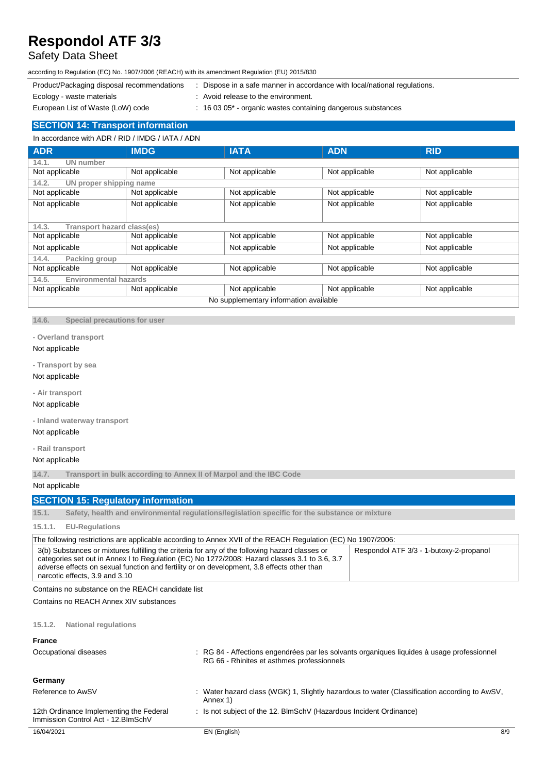## Safety Data Sheet

according to Regulation (EC) No. 1907/2006 (REACH) with its amendment Regulation (EU) 2015/830

- Product/Packaging disposal recommendations : Dispose in a safe manner in accordance with local/national regulations.
- 
- Ecology waste materials **Example 20** in Avoid release to the environment.
- European List of Waste (LoW) code : 16 03 05<sup>\*</sup> organic wastes containing dangerous substances
- 
- **SECTION 14: Transport information**

In accordance with ADR / RID / IMDG / IATA / ADN

| <b>ADR</b>                                 | <b>IMDG</b>    | <b>IATA</b>    | <b>ADN</b>     | <b>RID</b>     |
|--------------------------------------------|----------------|----------------|----------------|----------------|
| <b>UN</b> number<br>14.1.                  |                |                |                |                |
| Not applicable                             | Not applicable | Not applicable | Not applicable | Not applicable |
| 14.2.<br>UN proper shipping name           |                |                |                |                |
| Not applicable                             | Not applicable | Not applicable | Not applicable | Not applicable |
| Not applicable                             | Not applicable | Not applicable | Not applicable | Not applicable |
|                                            |                |                |                |                |
| <b>Transport hazard class(es)</b><br>14.3. |                |                |                |                |
| Not applicable                             | Not applicable | Not applicable | Not applicable | Not applicable |
| Not applicable                             | Not applicable | Not applicable | Not applicable | Not applicable |
| 14.4.<br>Packing group                     |                |                |                |                |
| Not applicable                             | Not applicable | Not applicable | Not applicable | Not applicable |
| <b>Environmental hazards</b><br>14.5.      |                |                |                |                |
| Not applicable                             | Not applicable | Not applicable | Not applicable | Not applicable |
| No supplementary information available     |                |                |                |                |

**14.6. Special precautions for user**

### **- Overland transport**

### Not applicable

**- Transport by sea**

### Not applicable

**- Air transport**

#### Not applicable

**- Inland waterway transport**

### Not applicable

**- Rail transport**

### Not applicable

**14.7. Transport in bulk according to Annex II of Marpol and the IBC Code**

Not applicable

### **SECTION 15: Regulatory information**

**15.1. Safety, health and environmental regulations/legislation specific for the substance or mixture**

### **15.1.1. EU-Regulations**

| The following restrictions are applicable according to Annex XVII of the REACH Regulation (EC) No 1907/2006:                                                                                                                                                                                                                    |                                         |  |
|---------------------------------------------------------------------------------------------------------------------------------------------------------------------------------------------------------------------------------------------------------------------------------------------------------------------------------|-----------------------------------------|--|
| 3(b) Substances or mixtures fulfilling the criteria for any of the following hazard classes or<br>categories set out in Annex I to Regulation (EC) No 1272/2008: Hazard classes 3.1 to 3.6, 3.7<br>adverse effects on sexual function and fertility or on development, 3.8 effects other than<br>narcotic effects, 3.9 and 3.10 | Respondol ATF 3/3 - 1-butoxy-2-propanol |  |

Contains no substance on the REACH candidate list

Contains no REACH Annex XIV substances

### **15.1.2. National regulations**

| <b>France</b><br>Occupational diseases                                         | : RG 84 - Affections engendrées par les solvants organiques liquides à usage professionnel<br>RG 66 - Rhinites et asthmes professionnels |     |
|--------------------------------------------------------------------------------|------------------------------------------------------------------------------------------------------------------------------------------|-----|
| Germany                                                                        |                                                                                                                                          |     |
| Reference to AwSV                                                              | : Water hazard class (WGK) 1, Slightly hazardous to water (Classification according to AwSV,<br>Annex 1)                                 |     |
| 12th Ordinance Implementing the Federal<br>Immission Control Act - 12. BlmSchV | : Is not subject of the 12. BlmSchV (Hazardous Incident Ordinance)                                                                       |     |
| 16/04/2021                                                                     | EN (English)                                                                                                                             | 8/9 |